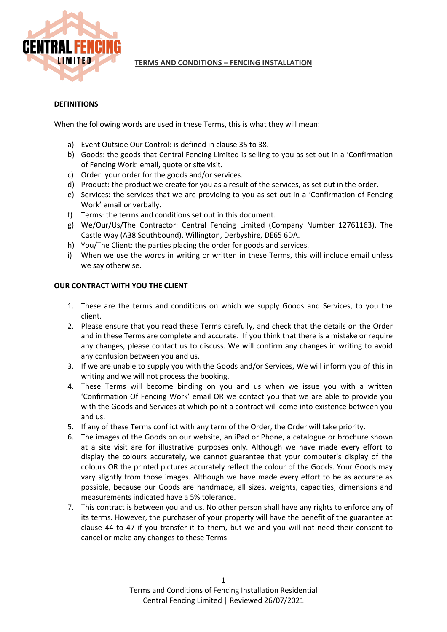

# **TERMS AND CONDITIONS – FENCING INSTALLATION**

## **DEFINITIONS**

When the following words are used in these Terms, this is what they will mean:

- a) Event Outside Our Control: is defined in clause 35 to 38.
- b) Goods: the goods that Central Fencing Limited is selling to you as set out in a 'Confirmation of Fencing Work' email, quote or site visit.
- c) Order: your order for the goods and/or services.
- d) Product: the product we create for you as a result of the services, as set out in the order.
- e) Services: the services that we are providing to you as set out in a 'Confirmation of Fencing Work' email or verbally.
- f) Terms: the terms and conditions set out in this document.
- g) We/Our/Us/The Contractor: Central Fencing Limited (Company Number 12761163), The Castle Way (A38 Southbound), Willington, Derbyshire, DE65 6DA.
- h) You/The Client: the parties placing the order for goods and services.
- i) When we use the words in writing or written in these Terms, this will include email unless we say otherwise.

### **OUR CONTRACT WITH YOU THE CLIENT**

- 1. These are the terms and conditions on which we supply Goods and Services, to you the client.
- 2. Please ensure that you read these Terms carefully, and check that the details on the Order and in these Terms are complete and accurate. If you think that there is a mistake or require any changes, please contact us to discuss. We will confirm any changes in writing to avoid any confusion between you and us.
- 3. If we are unable to supply you with the Goods and/or Services, We will inform you of this in writing and we will not process the booking.
- 4. These Terms will become binding on you and us when we issue you with a written 'Confirmation Of Fencing Work' email OR we contact you that we are able to provide you with the Goods and Services at which point a contract will come into existence between you and us.
- 5. If any of these Terms conflict with any term of the Order, the Order will take priority.
- 6. The images of the Goods on our website, an iPad or Phone, a catalogue or brochure shown at a site visit are for illustrative purposes only. Although we have made every effort to display the colours accurately, we cannot guarantee that your computer's display of the colours OR the printed pictures accurately reflect the colour of the Goods. Your Goods may vary slightly from those images. Although we have made every effort to be as accurate as possible, because our Goods are handmade, all sizes, weights, capacities, dimensions and measurements indicated have a 5% tolerance.
- 7. This contract is between you and us. No other person shall have any rights to enforce any of its terms. However, the purchaser of your property will have the benefit of the guarantee at clause 44 to 47 if you transfer it to them, but we and you will not need their consent to cancel or make any changes to these Terms.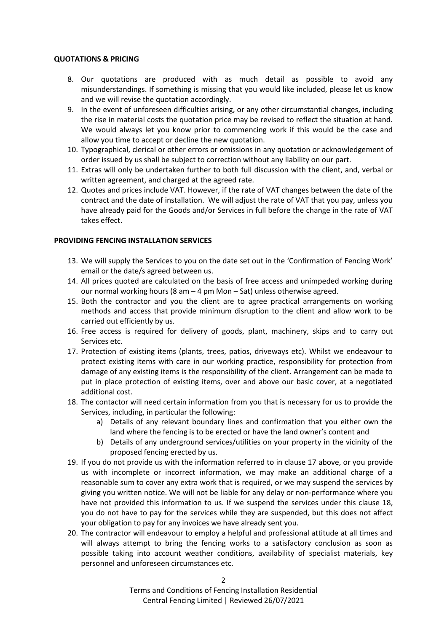#### **QUOTATIONS & PRICING**

- 8. Our quotations are produced with as much detail as possible to avoid any misunderstandings. If something is missing that you would like included, please let us know and we will revise the quotation accordingly.
- 9. In the event of unforeseen difficulties arising, or any other circumstantial changes, including the rise in material costs the quotation price may be revised to reflect the situation at hand. We would always let you know prior to commencing work if this would be the case and allow you time to accept or decline the new quotation.
- 10. Typographical, clerical or other errors or omissions in any quotation or acknowledgement of order issued by us shall be subject to correction without any liability on our part.
- 11. Extras will only be undertaken further to both full discussion with the client, and, verbal or written agreement, and charged at the agreed rate.
- 12. Quotes and prices include VAT. However, if the rate of VAT changes between the date of the contract and the date of installation. We will adjust the rate of VAT that you pay, unless you have already paid for the Goods and/or Services in full before the change in the rate of VAT takes effect.

### **PROVIDING FENCING INSTALLATION SERVICES**

- 13. We will supply the Services to you on the date set out in the 'Confirmation of Fencing Work' email or the date/s agreed between us.
- 14. All prices quoted are calculated on the basis of free access and unimpeded working during our normal working hours (8 am – 4 pm Mon – Sat) unless otherwise agreed.
- 15. Both the contractor and you the client are to agree practical arrangements on working methods and access that provide minimum disruption to the client and allow work to be carried out efficiently by us.
- 16. Free access is required for delivery of goods, plant, machinery, skips and to carry out Services etc.
- 17. Protection of existing items (plants, trees, patios, driveways etc). Whilst we endeavour to protect existing items with care in our working practice, responsibility for protection from damage of any existing items is the responsibility of the client. Arrangement can be made to put in place protection of existing items, over and above our basic cover, at a negotiated additional cost.
- 18. The contactor will need certain information from you that is necessary for us to provide the Services, including, in particular the following:
	- a) Details of any relevant boundary lines and confirmation that you either own the land where the fencing is to be erected or have the land owner's content and
	- b) Details of any underground services/utilities on your property in the vicinity of the proposed fencing erected by us.
- 19. If you do not provide us with the information referred to in clause 17 above, or you provide us with incomplete or incorrect information, we may make an additional charge of a reasonable sum to cover any extra work that is required, or we may suspend the services by giving you written notice. We will not be liable for any delay or non-performance where you have not provided this information to us. If we suspend the services under this clause 18, you do not have to pay for the services while they are suspended, but this does not affect your obligation to pay for any invoices we have already sent you.
- 20. The contractor will endeavour to employ a helpful and professional attitude at all times and will always attempt to bring the fencing works to a satisfactory conclusion as soon as possible taking into account weather conditions, availability of specialist materials, key personnel and unforeseen circumstances etc.

Terms and Conditions of Fencing Installation Residential Central Fencing Limited | Reviewed 26/07/2021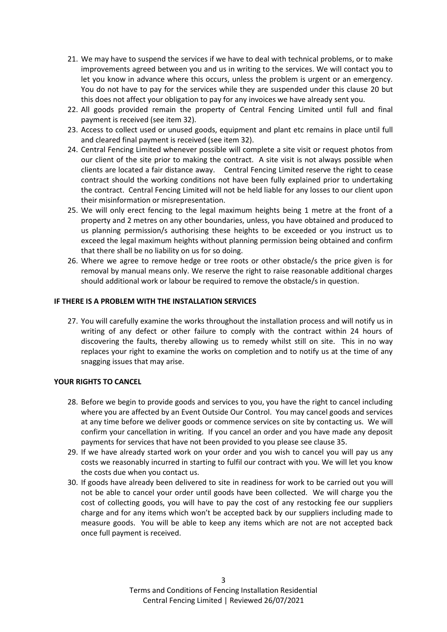- 21. We may have to suspend the services if we have to deal with technical problems, or to make improvements agreed between you and us in writing to the services. We will contact you to let you know in advance where this occurs, unless the problem is urgent or an emergency. You do not have to pay for the services while they are suspended under this clause 20 but this does not affect your obligation to pay for any invoices we have already sent you.
- 22. All goods provided remain the property of Central Fencing Limited until full and final payment is received (see item 32).
- 23. Access to collect used or unused goods, equipment and plant etc remains in place until full and cleared final payment is received (see item 32).
- 24. Central Fencing Limited whenever possible will complete a site visit or request photos from our client of the site prior to making the contract. A site visit is not always possible when clients are located a fair distance away. Central Fencing Limited reserve the right to cease contract should the working conditions not have been fully explained prior to undertaking the contract. Central Fencing Limited will not be held liable for any losses to our client upon their misinformation or misrepresentation.
- 25. We will only erect fencing to the legal maximum heights being 1 metre at the front of a property and 2 metres on any other boundaries, unless, you have obtained and produced to us planning permission/s authorising these heights to be exceeded or you instruct us to exceed the legal maximum heights without planning permission being obtained and confirm that there shall be no liability on us for so doing.
- 26. Where we agree to remove hedge or tree roots or other obstacle/s the price given is for removal by manual means only. We reserve the right to raise reasonable additional charges should additional work or labour be required to remove the obstacle/s in question.

#### **IF THERE IS A PROBLEM WITH THE INSTALLATION SERVICES**

27. You will carefully examine the works throughout the installation process and will notify us in writing of any defect or other failure to comply with the contract within 24 hours of discovering the faults, thereby allowing us to remedy whilst still on site. This in no way replaces your right to examine the works on completion and to notify us at the time of any snagging issues that may arise.

### **YOUR RIGHTS TO CANCEL**

- 28. Before we begin to provide goods and services to you, you have the right to cancel including where you are affected by an Event Outside Our Control. You may cancel goods and services at any time before we deliver goods or commence services on site by contacting us. We will confirm your cancellation in writing. If you cancel an order and you have made any deposit payments for services that have not been provided to you please see clause 35.
- 29. If we have already started work on your order and you wish to cancel you will pay us any costs we reasonably incurred in starting to fulfil our contract with you. We will let you know the costs due when you contact us.
- 30. If goods have already been delivered to site in readiness for work to be carried out you will not be able to cancel your order until goods have been collected. We will charge you the cost of collecting goods, you will have to pay the cost of any restocking fee our suppliers charge and for any items which won't be accepted back by our suppliers including made to measure goods. You will be able to keep any items which are not are not accepted back once full payment is received.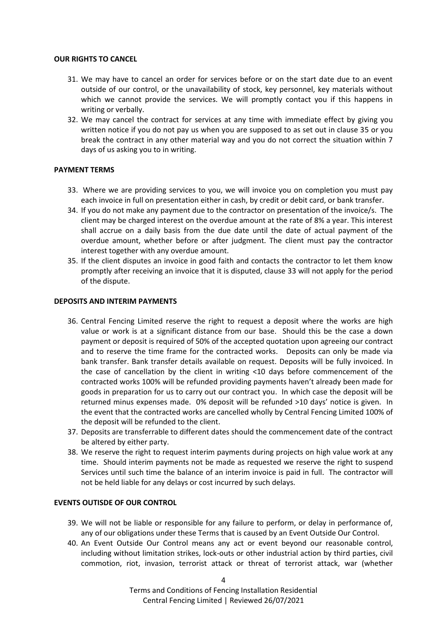#### **OUR RIGHTS TO CANCEL**

- 31. We may have to cancel an order for services before or on the start date due to an event outside of our control, or the unavailability of stock, key personnel, key materials without which we cannot provide the services. We will promptly contact you if this happens in writing or verbally.
- 32. We may cancel the contract for services at any time with immediate effect by giving you written notice if you do not pay us when you are supposed to as set out in clause 35 or you break the contract in any other material way and you do not correct the situation within 7 days of us asking you to in writing.

# **PAYMENT TERMS**

- 33. Where we are providing services to you, we will invoice you on completion you must pay each invoice in full on presentation either in cash, by credit or debit card, or bank transfer.
- 34. If you do not make any payment due to the contractor on presentation of the invoice/s. The client may be charged interest on the overdue amount at the rate of 8% a year. This interest shall accrue on a daily basis from the due date until the date of actual payment of the overdue amount, whether before or after judgment. The client must pay the contractor interest together with any overdue amount.
- 35. If the client disputes an invoice in good faith and contacts the contractor to let them know promptly after receiving an invoice that it is disputed, clause 33 will not apply for the period of the dispute.

### **DEPOSITS AND INTERIM PAYMENTS**

- 36. Central Fencing Limited reserve the right to request a deposit where the works are high value or work is at a significant distance from our base. Should this be the case a down payment or deposit is required of 50% of the accepted quotation upon agreeing our contract and to reserve the time frame for the contracted works. Deposits can only be made via bank transfer. Bank transfer details available on request. Deposits will be fully invoiced. In the case of cancellation by the client in writing <10 days before commencement of the contracted works 100% will be refunded providing payments haven't already been made for goods in preparation for us to carry out our contract you. In which case the deposit will be returned minus expenses made. 0% deposit will be refunded >10 days' notice is given. In the event that the contracted works are cancelled wholly by Central Fencing Limited 100% of the deposit will be refunded to the client.
- 37. Deposits are transferrable to different dates should the commencement date of the contract be altered by either party.
- 38. We reserve the right to request interim payments during projects on high value work at any time. Should interim payments not be made as requested we reserve the right to suspend Services until such time the balance of an interim invoice is paid in full. The contractor will not be held liable for any delays or cost incurred by such delays.

### **EVENTS OUTISDE OF OUR CONTROL**

- 39. We will not be liable or responsible for any failure to perform, or delay in performance of, any of our obligations under these Terms that is caused by an Event Outside Our Control.
- 40. An Event Outside Our Control means any act or event beyond our reasonable control, including without limitation strikes, lock-outs or other industrial action by third parties, civil commotion, riot, invasion, terrorist attack or threat of terrorist attack, war (whether

Terms and Conditions of Fencing Installation Residential Central Fencing Limited | Reviewed 26/07/2021